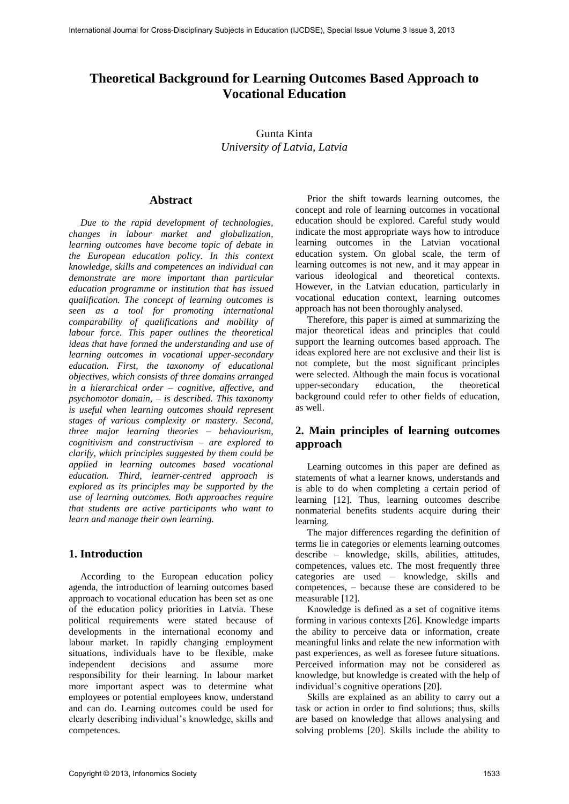# **Theoretical Background for Learning Outcomes Based Approach to Vocational Education**

Gunta Kinta *University of Latvia, Latvia* 

### **Abstract**

*Due to the rapid development of technologies, changes in labour market and globalization, learning outcomes have become topic of debate in the European education policy. In this context knowledge, skills and competences an individual can demonstrate are more important than particular education programme or institution that has issued qualification. The concept of learning outcomes is seen as a tool for promoting international comparability of qualifications and mobility of labour force. This paper outlines the theoretical ideas that have formed the understanding and use of learning outcomes in vocational upper-secondary education. First, the taxonomy of educational objectives, which consists of three domains arranged in a hierarchical order – cognitive, affective, and psychomotor domain, – is described. This taxonomy is useful when learning outcomes should represent stages of various complexity or mastery. Second, three major learning theories – behaviourism, cognitivism and constructivism – are explored to clarify, which principles suggested by them could be applied in learning outcomes based vocational education. Third, learner-centred approach is explored as its principles may be supported by the use of learning outcomes. Both approaches require that students are active participants who want to learn and manage their own learning.* 

## **1. Introduction**

According to the European education policy agenda, the introduction of learning outcomes based approach to vocational education has been set as one of the education policy priorities in Latvia. These political requirements were stated because of developments in the international economy and labour market. In rapidly changing employment situations, individuals have to be flexible, make independent decisions and assume more responsibility for their learning. In labour market more important aspect was to determine what employees or potential employees know, understand and can do. Learning outcomes could be used for clearly describing individual's knowledge, skills and competences.

Prior the shift towards learning outcomes, the concept and role of learning outcomes in vocational education should be explored. Careful study would indicate the most appropriate ways how to introduce learning outcomes in the Latvian vocational education system. On global scale, the term of learning outcomes is not new, and it may appear in various ideological and theoretical contexts. However, in the Latvian education, particularly in vocational education context, learning outcomes approach has not been thoroughly analysed.

Therefore, this paper is aimed at summarizing the major theoretical ideas and principles that could support the learning outcomes based approach. The ideas explored here are not exclusive and their list is not complete, but the most significant principles were selected. Although the main focus is vocational upper-secondary education, the theoretical background could refer to other fields of education, as well.

## **2. Main principles of learning outcomes approach**

Learning outcomes in this paper are defined as statements of what a learner knows, understands and is able to do when completing a certain period of learning [12]. Thus, learning outcomes describe nonmaterial benefits students acquire during their learning.

The major differences regarding the definition of terms lie in categories or elements learning outcomes describe – knowledge, skills, abilities, attitudes, competences, values etc. The most frequently three categories are used – knowledge, skills and competences, – because these are considered to be measurable [12].

Knowledge is defined as a set of cognitive items forming in various contexts [26]. Knowledge imparts the ability to perceive data or information, create meaningful links and relate the new information with past experiences, as well as foresee future situations. Perceived information may not be considered as knowledge, but knowledge is created with the help of individual's cognitive operations [20].

Skills are explained as an ability to carry out a task or action in order to find solutions; thus, skills are based on knowledge that allows analysing and solving problems [20]. Skills include the ability to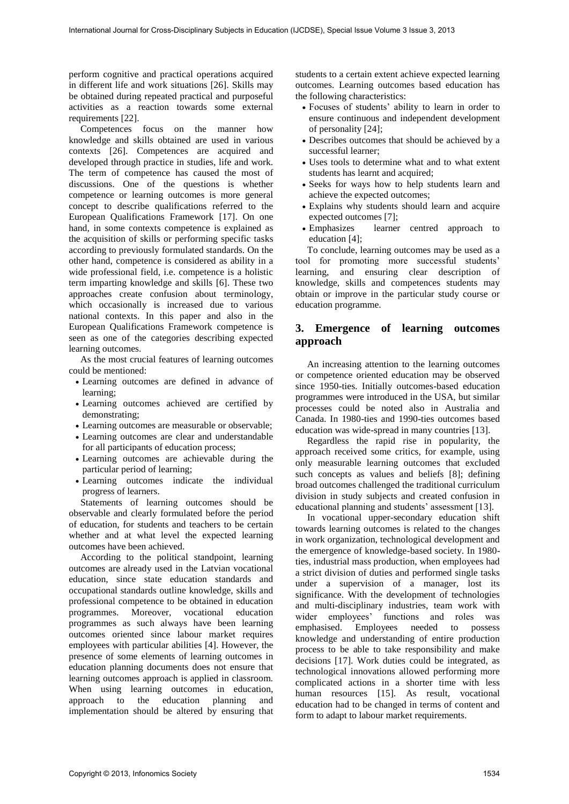perform cognitive and practical operations acquired in different life and work situations [26]. Skills may be obtained during repeated practical and purposeful activities as a reaction towards some external requirements [22].

Competences focus on the manner how knowledge and skills obtained are used in various contexts [26]. Competences are acquired and developed through practice in studies, life and work. The term of competence has caused the most of discussions. One of the questions is whether competence or learning outcomes is more general concept to describe qualifications referred to the European Qualifications Framework [17]. On one hand, in some contexts competence is explained as the acquisition of skills or performing specific tasks according to previously formulated standards. On the other hand, competence is considered as ability in a wide professional field, i.e. competence is a holistic term imparting knowledge and skills [6]. These two approaches create confusion about terminology, which occasionally is increased due to various national contexts. In this paper and also in the European Qualifications Framework competence is seen as one of the categories describing expected learning outcomes.

As the most crucial features of learning outcomes could be mentioned:

- Learning outcomes are defined in advance of learning;
- Learning outcomes achieved are certified by demonstrating;
- Learning outcomes are measurable or observable;
- Learning outcomes are clear and understandable for all participants of education process;
- Learning outcomes are achievable during the particular period of learning;
- Learning outcomes indicate the individual progress of learners.

Statements of learning outcomes should be observable and clearly formulated before the period of education, for students and teachers to be certain whether and at what level the expected learning outcomes have been achieved.

According to the political standpoint, learning outcomes are already used in the Latvian vocational education, since state education standards and occupational standards outline knowledge, skills and professional competence to be obtained in education programmes. Moreover, vocational education programmes as such always have been learning outcomes oriented since labour market requires employees with particular abilities [4]. However, the presence of some elements of learning outcomes in education planning documents does not ensure that learning outcomes approach is applied in classroom. When using learning outcomes in education, approach to the education planning and implementation should be altered by ensuring that students to a certain extent achieve expected learning outcomes. Learning outcomes based education has the following characteristics:

- Focuses of students' ability to learn in order to ensure continuous and independent development of personality [24];
- Describes outcomes that should be achieved by a successful learner;
- Uses tools to determine what and to what extent students has learnt and acquired;
- Seeks for ways how to help students learn and achieve the expected outcomes;
- Explains why students should learn and acquire expected outcomes [7];
- Emphasizes learner centred approach to education [4];

To conclude, learning outcomes may be used as a tool for promoting more successful students' learning, and ensuring clear description of knowledge, skills and competences students may obtain or improve in the particular study course or education programme.

### **3. Emergence of learning outcomes approach**

An increasing attention to the learning outcomes or competence oriented education may be observed since 1950-ties. Initially outcomes-based education programmes were introduced in the USA, but similar processes could be noted also in Australia and Canada. In 1980-ties and 1990-ties outcomes based education was wide-spread in many countries [13].

Regardless the rapid rise in popularity, the approach received some critics, for example, using only measurable learning outcomes that excluded such concepts as values and beliefs [8]; defining broad outcomes challenged the traditional curriculum division in study subjects and created confusion in educational planning and students' assessment [13].

In vocational upper-secondary education shift towards learning outcomes is related to the changes in work organization, technological development and the emergence of knowledge-based society. In 1980 ties, industrial mass production, when employees had a strict division of duties and performed single tasks under a supervision of a manager, lost its significance. With the development of technologies and multi-disciplinary industries, team work with wider employees' functions and roles was emphasised. Employees needed to possess knowledge and understanding of entire production process to be able to take responsibility and make decisions [17]. Work duties could be integrated, as technological innovations allowed performing more complicated actions in a shorter time with less human resources [15]. As result, vocational education had to be changed in terms of content and form to adapt to labour market requirements.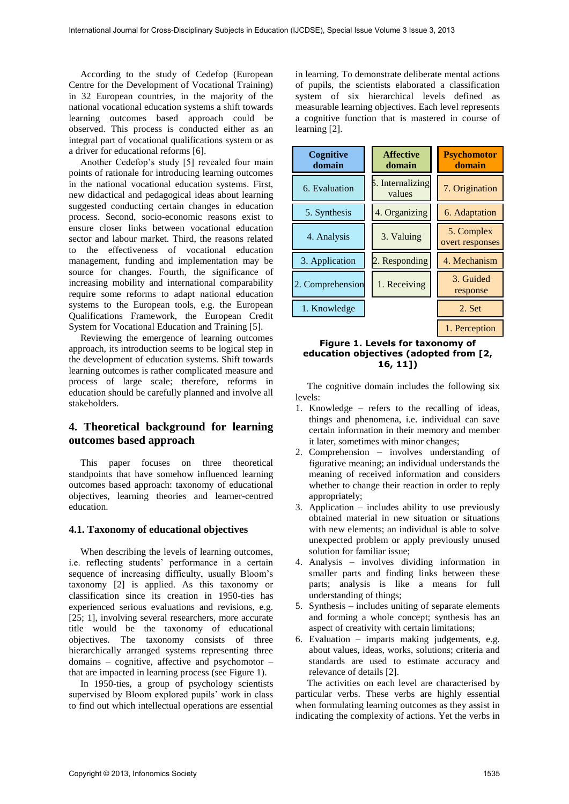According to the study of Cedefop (European Centre for the Development of Vocational Training) in 32 European countries, in the majority of the national vocational education systems a shift towards learning outcomes based approach could be observed. This process is conducted either as an integral part of vocational qualifications system or as a driver for educational reforms [6].

Another Cedefop's study [5] revealed four main points of rationale for introducing learning outcomes in the national vocational education systems. First, new didactical and pedagogical ideas about learning suggested conducting certain changes in education process. Second, socio-economic reasons exist to ensure closer links between vocational education sector and labour market. Third, the reasons related to the effectiveness of vocational education management, funding and implementation may be source for changes. Fourth, the significance of increasing mobility and international comparability require some reforms to adapt national education systems to the European tools, e.g. the European Qualifications Framework, the European Credit System for Vocational Education and Training [5].

Reviewing the emergence of learning outcomes approach, its introduction seems to be logical step in the development of education systems. Shift towards learning outcomes is rather complicated measure and process of large scale; therefore, reforms in education should be carefully planned and involve all stakeholders.

## **4. Theoretical background for learning outcomes based approach**

This paper focuses on three theoretical standpoints that have somehow influenced learning outcomes based approach: taxonomy of educational objectives, learning theories and learner-centred education.

#### **4.1. Taxonomy of educational objectives**

When describing the levels of learning outcomes, i.e. reflecting students' performance in a certain sequence of increasing difficulty, usually Bloom's taxonomy [2] is applied. As this taxonomy or classification since its creation in 1950-ties has experienced serious evaluations and revisions, e.g. [25; 1], involving several researchers, more accurate title would be the taxonomy of educational objectives. The taxonomy consists of three hierarchically arranged systems representing three domains – cognitive, affective and psychomotor – that are impacted in learning process (see Figure 1).

In 1950-ties, a group of psychology scientists supervised by Bloom explored pupils' work in class to find out which intellectual operations are essential

in learning. To demonstrate deliberate mental actions of pupils, the scientists elaborated a classification system of six hierarchical levels defined as measurable learning objectives. Each level represents a cognitive function that is mastered in course of learning [2].

| Cognitive<br>domain | <b>Affective</b><br>domain | <b>Psychomotor</b><br>domain  |
|---------------------|----------------------------|-------------------------------|
| 6. Evaluation       | 5. Internalizing<br>values | 7. Origination                |
| 5. Synthesis        | 4. Organizing              | 6. Adaptation                 |
| 4. Analysis         | 3. Valuing                 | 5. Complex<br>overt responses |
| 3. Application      | 2. Responding              | 4. Mechanism                  |
| 2. Comprehension    | 1. Receiving               | 3. Guided<br>response         |
| 1. Knowledge        |                            | 2. Set                        |
|                     |                            | 1. Perception                 |

**Figure 1. Levels for taxonomy of education objectives (adopted from [2, 16, 11])**

The cognitive domain includes the following six levels:

- 1. Knowledge refers to the recalling of ideas, things and phenomena, i.e. individual can save certain information in their memory and member it later, sometimes with minor changes;
- 2. Comprehension involves understanding of figurative meaning; an individual understands the meaning of received information and considers whether to change their reaction in order to reply appropriately;
- 3. Application includes ability to use previously obtained material in new situation or situations with new elements; an individual is able to solve unexpected problem or apply previously unused solution for familiar issue;
- 4. Analysis involves dividing information in smaller parts and finding links between these parts; analysis is like a means for full understanding of things;
- 5. Synthesis includes uniting of separate elements and forming a whole concept; synthesis has an aspect of creativity with certain limitations;
- 6. Evaluation imparts making judgements, e.g. about values, ideas, works, solutions; criteria and standards are used to estimate accuracy and relevance of details [2].

The activities on each level are characterised by particular verbs. These verbs are highly essential when formulating learning outcomes as they assist in indicating the complexity of actions. Yet the verbs in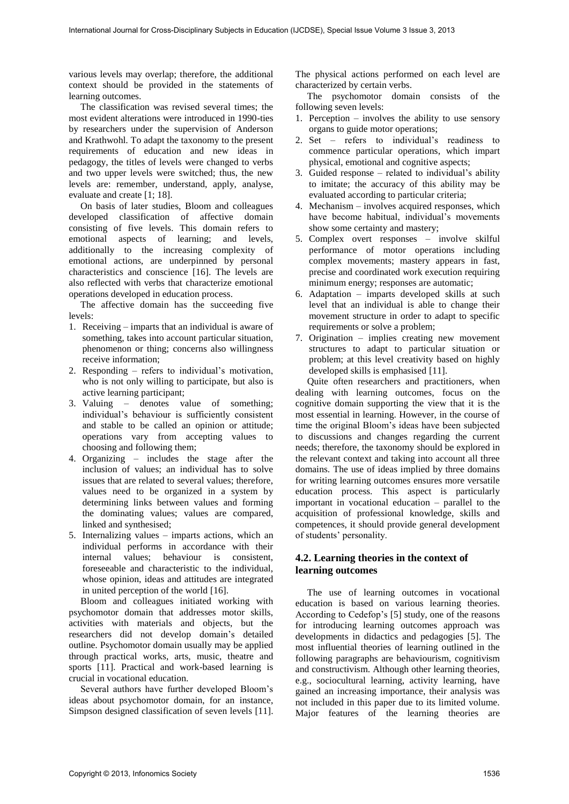various levels may overlap; therefore, the additional context should be provided in the statements of learning outcomes.

The classification was revised several times; the most evident alterations were introduced in 1990-ties by researchers under the supervision of Anderson and Krathwohl. To adapt the taxonomy to the present requirements of education and new ideas in pedagogy, the titles of levels were changed to verbs and two upper levels were switched; thus, the new levels are: remember, understand, apply, analyse, evaluate and create [1; 18].

On basis of later studies, Bloom and colleagues developed classification of affective domain consisting of five levels. This domain refers to emotional aspects of learning; and levels, additionally to the increasing complexity of emotional actions, are underpinned by personal characteristics and conscience [16]. The levels are also reflected with verbs that characterize emotional operations developed in education process.

The affective domain has the succeeding five levels:

- 1. Receiving imparts that an individual is aware of something, takes into account particular situation, phenomenon or thing; concerns also willingness receive information;
- 2. Responding refers to individual's motivation, who is not only willing to participate, but also is active learning participant;
- 3. Valuing denotes value of something; individual's behaviour is sufficiently consistent and stable to be called an opinion or attitude; operations vary from accepting values to choosing and following them;
- 4. Organizing includes the stage after the inclusion of values; an individual has to solve issues that are related to several values; therefore, values need to be organized in a system by determining links between values and forming the dominating values; values are compared, linked and synthesised;
- 5. Internalizing values imparts actions, which an individual performs in accordance with their internal values; behaviour is consistent, foreseeable and characteristic to the individual, whose opinion, ideas and attitudes are integrated in united perception of the world [16].

Bloom and colleagues initiated working with psychomotor domain that addresses motor skills, activities with materials and objects, but the researchers did not develop domain's detailed outline. Psychomotor domain usually may be applied through practical works, arts, music, theatre and sports [11]. Practical and work-based learning is crucial in vocational education.

Several authors have further developed Bloom's ideas about psychomotor domain, for an instance, Simpson designed classification of seven levels [11].

The physical actions performed on each level are characterized by certain verbs.

The psychomotor domain consists of the following seven levels:

- 1. Perception involves the ability to use sensory organs to guide motor operations;
- 2. Set refers to individual's readiness to commence particular operations, which impart physical, emotional and cognitive aspects;
- 3. Guided response related to individual's ability to imitate; the accuracy of this ability may be evaluated according to particular criteria;
- 4. Mechanism involves acquired responses, which have become habitual, individual's movements show some certainty and mastery;
- 5. Complex overt responses involve skilful performance of motor operations including complex movements; mastery appears in fast, precise and coordinated work execution requiring minimum energy; responses are automatic;
- 6. Adaptation imparts developed skills at such level that an individual is able to change their movement structure in order to adapt to specific requirements or solve a problem;
- 7. Origination implies creating new movement structures to adapt to particular situation or problem; at this level creativity based on highly developed skills is emphasised [11].

Quite often researchers and practitioners, when dealing with learning outcomes, focus on the cognitive domain supporting the view that it is the most essential in learning. However, in the course of time the original Bloom's ideas have been subjected to discussions and changes regarding the current needs; therefore, the taxonomy should be explored in the relevant context and taking into account all three domains. The use of ideas implied by three domains for writing learning outcomes ensures more versatile education process. This aspect is particularly important in vocational education – parallel to the acquisition of professional knowledge, skills and competences, it should provide general development of students' personality.

### **4.2. Learning theories in the context of learning outcomes**

The use of learning outcomes in vocational education is based on various learning theories. According to Cedefop's [5] study, one of the reasons for introducing learning outcomes approach was developments in didactics and pedagogies [5]. The most influential theories of learning outlined in the following paragraphs are behaviourism, cognitivism and constructivism. Although other learning theories, e.g., sociocultural learning, activity learning, have gained an increasing importance, their analysis was not included in this paper due to its limited volume. Major features of the learning theories are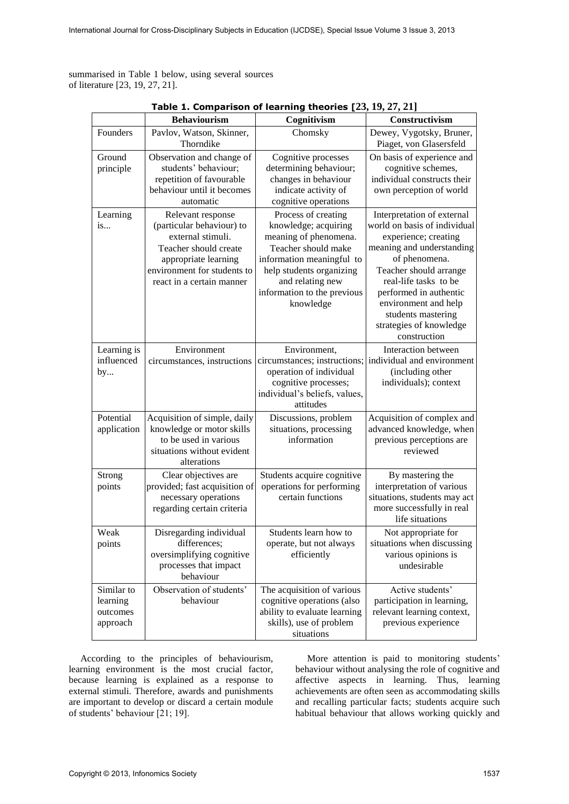summarised in Table 1 below, using several sources of literature [23, 19, 27, 21].

|                                                | <b>Behaviourism</b>                                                                                                                                                              | Cognitivism                                                                                                                                                                                                          | Constructivism                                                                                                                                                                                                                                                                                         |
|------------------------------------------------|----------------------------------------------------------------------------------------------------------------------------------------------------------------------------------|----------------------------------------------------------------------------------------------------------------------------------------------------------------------------------------------------------------------|--------------------------------------------------------------------------------------------------------------------------------------------------------------------------------------------------------------------------------------------------------------------------------------------------------|
| Founders                                       | Pavlov, Watson, Skinner,<br>Thorndike                                                                                                                                            | Chomsky                                                                                                                                                                                                              | Dewey, Vygotsky, Bruner,<br>Piaget, von Glasersfeld                                                                                                                                                                                                                                                    |
| Ground<br>principle                            | Observation and change of<br>students' behaviour;<br>repetition of favourable<br>behaviour until it becomes<br>automatic                                                         | Cognitive processes<br>determining behaviour;<br>changes in behaviour<br>indicate activity of<br>cognitive operations                                                                                                | On basis of experience and<br>cognitive schemes,<br>individual constructs their<br>own perception of world                                                                                                                                                                                             |
| Learning<br>is                                 | Relevant response<br>(particular behaviour) to<br>external stimuli.<br>Teacher should create<br>appropriate learning<br>environment for students to<br>react in a certain manner | Process of creating<br>knowledge; acquiring<br>meaning of phenomena.<br>Teacher should make<br>information meaningful to<br>help students organizing<br>and relating new<br>information to the previous<br>knowledge | Interpretation of external<br>world on basis of individual<br>experience; creating<br>meaning and understanding<br>of phenomena.<br>Teacher should arrange<br>real-life tasks to be<br>performed in authentic<br>environment and help<br>students mastering<br>strategies of knowledge<br>construction |
| Learning is<br>influenced<br>by                | Environment<br>circumstances, instructions                                                                                                                                       | Environment,<br>circumstances; instructions;<br>operation of individual<br>cognitive processes;<br>individual's beliefs, values,<br>attitudes                                                                        | Interaction between<br>individual and environment<br>(including other<br>individuals); context                                                                                                                                                                                                         |
| Potential<br>application                       | Acquisition of simple, daily<br>knowledge or motor skills<br>to be used in various<br>situations without evident<br>alterations                                                  | Discussions, problem<br>situations, processing<br>information                                                                                                                                                        | Acquisition of complex and<br>advanced knowledge, when<br>previous perceptions are<br>reviewed                                                                                                                                                                                                         |
| Strong<br>points                               | Clear objectives are<br>provided; fast acquisition of<br>necessary operations<br>regarding certain criteria                                                                      | Students acquire cognitive<br>operations for performing<br>certain functions                                                                                                                                         | By mastering the<br>interpretation of various<br>situations, students may act<br>more successfully in real<br>life situations                                                                                                                                                                          |
| Weak<br>points                                 | Disregarding individual<br>differences;<br>oversimplifying cognitive<br>processes that impact<br>behaviour                                                                       | Students learn how to<br>operate, but not always<br>efficiently                                                                                                                                                      | Not appropriate for<br>situations when discussing<br>various opinions is<br>undesirable                                                                                                                                                                                                                |
| Similar to<br>learning<br>outcomes<br>approach | Observation of students'<br>behaviour                                                                                                                                            | The acquisition of various<br>cognitive operations (also<br>ability to evaluate learning<br>skills), use of problem<br>situations                                                                                    | Active students'<br>participation in learning,<br>relevant learning context,<br>previous experience                                                                                                                                                                                                    |

**Table 1. Comparison of learning theories [23, 19, 27, 21]**

According to the principles of behaviourism, learning environment is the most crucial factor, because learning is explained as a response to external stimuli. Therefore, awards and punishments are important to develop or discard a certain module of students' behaviour [21; 19].

More attention is paid to monitoring students' behaviour without analysing the role of cognitive and affective aspects in learning. Thus, learning achievements are often seen as accommodating skills and recalling particular facts; students acquire such habitual behaviour that allows working quickly and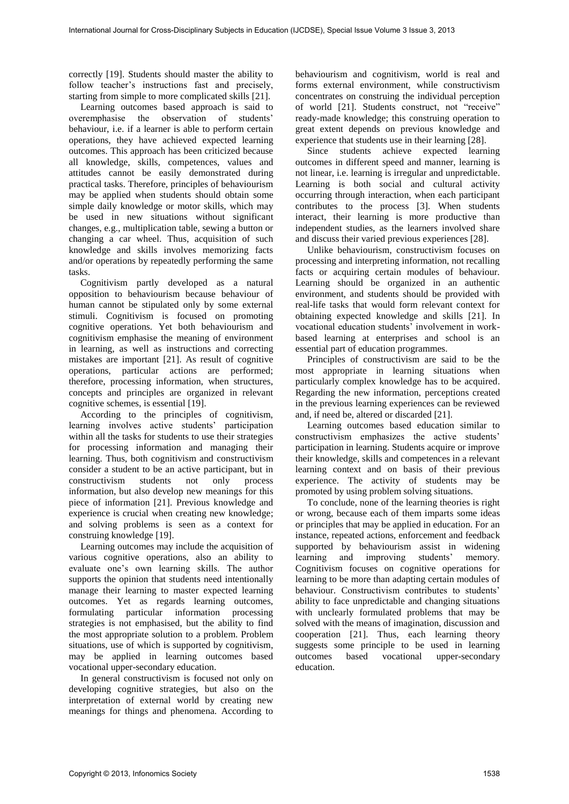correctly [19]. Students should master the ability to follow teacher's instructions fast and precisely, starting from simple to more complicated skills [21].

Learning outcomes based approach is said to overemphasise the observation of students' behaviour, i.e. if a learner is able to perform certain operations, they have achieved expected learning outcomes. This approach has been criticized because all knowledge, skills, competences, values and attitudes cannot be easily demonstrated during practical tasks. Therefore, principles of behaviourism may be applied when students should obtain some simple daily knowledge or motor skills, which may be used in new situations without significant changes, e.g., multiplication table, sewing a button or changing a car wheel. Thus, acquisition of such knowledge and skills involves memorizing facts and/or operations by repeatedly performing the same tasks.

Cognitivism partly developed as a natural opposition to behaviourism because behaviour of human cannot be stipulated only by some external stimuli. Cognitivism is focused on promoting cognitive operations. Yet both behaviourism and cognitivism emphasise the meaning of environment in learning, as well as instructions and correcting mistakes are important [21]. As result of cognitive operations, particular actions are performed; therefore, processing information, when structures, concepts and principles are organized in relevant cognitive schemes, is essential [19].

According to the principles of cognitivism, learning involves active students' participation within all the tasks for students to use their strategies for processing information and managing their learning. Thus, both cognitivism and constructivism consider a student to be an active participant, but in constructivism students not only process information, but also develop new meanings for this piece of information [21]. Previous knowledge and experience is crucial when creating new knowledge; and solving problems is seen as a context for construing knowledge [19].

Learning outcomes may include the acquisition of various cognitive operations, also an ability to evaluate one's own learning skills. The author supports the opinion that students need intentionally manage their learning to master expected learning outcomes. Yet as regards learning outcomes, formulating particular information processing strategies is not emphasised, but the ability to find the most appropriate solution to a problem. Problem situations, use of which is supported by cognitivism, may be applied in learning outcomes based vocational upper-secondary education.

In general constructivism is focused not only on developing cognitive strategies, but also on the interpretation of external world by creating new meanings for things and phenomena. According to

behaviourism and cognitivism, world is real and forms external environment, while constructivism concentrates on construing the individual perception of world [21]. Students construct, not "receive" ready-made knowledge; this construing operation to great extent depends on previous knowledge and experience that students use in their learning [28].

Since students achieve expected learning outcomes in different speed and manner, learning is not linear, i.e. learning is irregular and unpredictable. Learning is both social and cultural activity occurring through interaction, when each participant contributes to the process [3]. When students interact, their learning is more productive than independent studies, as the learners involved share and discuss their varied previous experiences [28].

Unlike behaviourism, constructivism focuses on processing and interpreting information, not recalling facts or acquiring certain modules of behaviour. Learning should be organized in an authentic environment, and students should be provided with real-life tasks that would form relevant context for obtaining expected knowledge and skills [21]. In vocational education students' involvement in workbased learning at enterprises and school is an essential part of education programmes.

Principles of constructivism are said to be the most appropriate in learning situations when particularly complex knowledge has to be acquired. Regarding the new information, perceptions created in the previous learning experiences can be reviewed and, if need be, altered or discarded [21].

Learning outcomes based education similar to constructivism emphasizes the active students' participation in learning. Students acquire or improve their knowledge, skills and competences in a relevant learning context and on basis of their previous experience. The activity of students may be promoted by using problem solving situations.

To conclude, none of the learning theories is right or wrong, because each of them imparts some ideas or principles that may be applied in education. For an instance, repeated actions, enforcement and feedback supported by behaviourism assist in widening learning and improving students' memory. Cognitivism focuses on cognitive operations for learning to be more than adapting certain modules of behaviour. Constructivism contributes to students' ability to face unpredictable and changing situations with unclearly formulated problems that may be solved with the means of imagination, discussion and cooperation [21]. Thus, each learning theory suggests some principle to be used in learning outcomes based vocational upper-secondary education.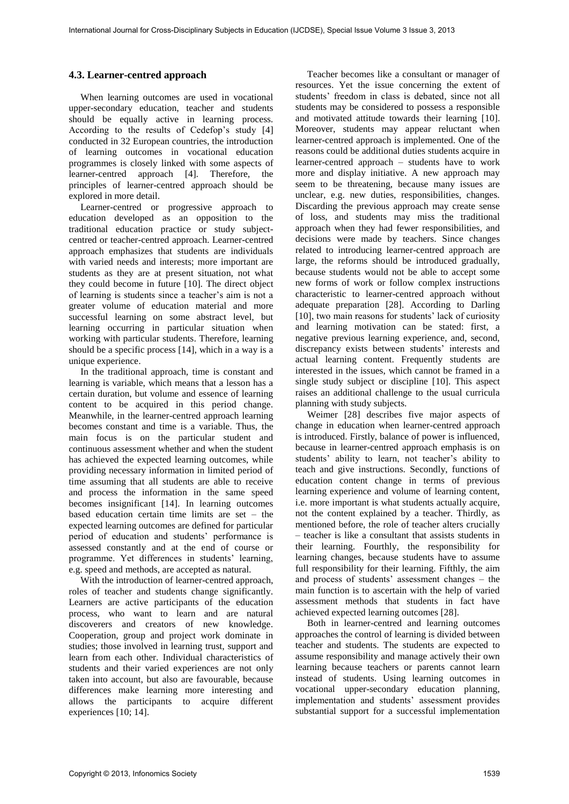### **4.3. Learner-centred approach**

When learning outcomes are used in vocational upper-secondary education, teacher and students should be equally active in learning process. According to the results of Cedefop's study [4] conducted in 32 European countries, the introduction of learning outcomes in vocational education programmes is closely linked with some aspects of learner-centred approach [4]. Therefore, the principles of learner-centred approach should be explored in more detail.

Learner-centred or progressive approach to education developed as an opposition to the traditional education practice or study subjectcentred or teacher-centred approach. Learner-centred approach emphasizes that students are individuals with varied needs and interests; more important are students as they are at present situation, not what they could become in future [10]. The direct object of learning is students since a teacher's aim is not a greater volume of education material and more successful learning on some abstract level, but learning occurring in particular situation when working with particular students. Therefore, learning should be a specific process [14], which in a way is a unique experience.

In the traditional approach, time is constant and learning is variable, which means that a lesson has a certain duration, but volume and essence of learning content to be acquired in this period change. Meanwhile, in the learner-centred approach learning becomes constant and time is a variable. Thus, the main focus is on the particular student and continuous assessment whether and when the student has achieved the expected learning outcomes, while providing necessary information in limited period of time assuming that all students are able to receive and process the information in the same speed becomes insignificant [14]. In learning outcomes based education certain time limits are set – the expected learning outcomes are defined for particular period of education and students' performance is assessed constantly and at the end of course or programme. Yet differences in students' learning, e.g. speed and methods, are accepted as natural.

With the introduction of learner-centred approach, roles of teacher and students change significantly. Learners are active participants of the education process, who want to learn and are natural discoverers and creators of new knowledge. Cooperation, group and project work dominate in studies; those involved in learning trust, support and learn from each other. Individual characteristics of students and their varied experiences are not only taken into account, but also are favourable, because differences make learning more interesting and allows the participants to acquire different experiences [10; 14].

Teacher becomes like a consultant or manager of resources. Yet the issue concerning the extent of students' freedom in class is debated, since not all students may be considered to possess a responsible and motivated attitude towards their learning [10]. Moreover, students may appear reluctant when learner-centred approach is implemented. One of the reasons could be additional duties students acquire in learner-centred approach – students have to work more and display initiative. A new approach may seem to be threatening, because many issues are unclear, e.g. new duties, responsibilities, changes. Discarding the previous approach may create sense of loss, and students may miss the traditional approach when they had fewer responsibilities, and decisions were made by teachers. Since changes related to introducing learner-centred approach are large, the reforms should be introduced gradually, because students would not be able to accept some new forms of work or follow complex instructions characteristic to learner-centred approach without adequate preparation [28]. According to Darling [10], two main reasons for students' lack of curiosity and learning motivation can be stated: first, a negative previous learning experience, and, second, discrepancy exists between students' interests and actual learning content. Frequently students are interested in the issues, which cannot be framed in a single study subject or discipline [10]. This aspect raises an additional challenge to the usual curricula planning with study subjects.

Weimer [28] describes five major aspects of change in education when learner-centred approach is introduced. Firstly, balance of power is influenced, because in learner-centred approach emphasis is on students' ability to learn, not teacher's ability to teach and give instructions. Secondly, functions of education content change in terms of previous learning experience and volume of learning content, i.e. more important is what students actually acquire, not the content explained by a teacher. Thirdly, as mentioned before, the role of teacher alters crucially – teacher is like a consultant that assists students in their learning. Fourthly, the responsibility for learning changes, because students have to assume full responsibility for their learning. Fifthly, the aim and process of students' assessment changes – the main function is to ascertain with the help of varied assessment methods that students in fact have achieved expected learning outcomes [28].

Both in learner-centred and learning outcomes approaches the control of learning is divided between teacher and students. The students are expected to assume responsibility and manage actively their own learning because teachers or parents cannot learn instead of students. Using learning outcomes in vocational upper-secondary education planning, implementation and students' assessment provides substantial support for a successful implementation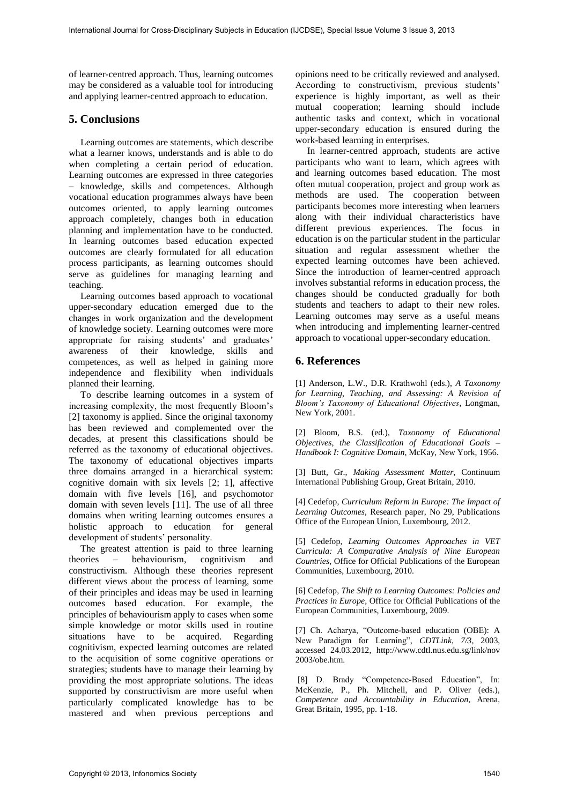of learner-centred approach. Thus, learning outcomes may be considered as a valuable tool for introducing and applying learner-centred approach to education.

## **5. Conclusions**

Learning outcomes are statements, which describe what a learner knows, understands and is able to do when completing a certain period of education. Learning outcomes are expressed in three categories – knowledge, skills and competences. Although vocational education programmes always have been outcomes oriented, to apply learning outcomes approach completely, changes both in education planning and implementation have to be conducted. In learning outcomes based education expected outcomes are clearly formulated for all education process participants, as learning outcomes should serve as guidelines for managing learning and teaching.

Learning outcomes based approach to vocational upper-secondary education emerged due to the changes in work organization and the development of knowledge society. Learning outcomes were more appropriate for raising students' and graduates' awareness of their knowledge, skills and competences, as well as helped in gaining more independence and flexibility when individuals planned their learning.

To describe learning outcomes in a system of increasing complexity, the most frequently Bloom's [2] taxonomy is applied. Since the original taxonomy has been reviewed and complemented over the decades, at present this classifications should be referred as the taxonomy of educational objectives. The taxonomy of educational objectives imparts three domains arranged in a hierarchical system: cognitive domain with six levels [2; 1], affective domain with five levels [16], and psychomotor domain with seven levels [11]. The use of all three domains when writing learning outcomes ensures a holistic approach to education for general development of students' personality.

The greatest attention is paid to three learning theories – behaviourism, cognitivism and constructivism. Although these theories represent different views about the process of learning, some of their principles and ideas may be used in learning outcomes based education. For example, the principles of behaviourism apply to cases when some simple knowledge or motor skills used in routine situations have to be acquired. Regarding cognitivism, expected learning outcomes are related to the acquisition of some cognitive operations or strategies; students have to manage their learning by providing the most appropriate solutions. The ideas supported by constructivism are more useful when particularly complicated knowledge has to be mastered and when previous perceptions and

opinions need to be critically reviewed and analysed. According to constructivism, previous students' experience is highly important, as well as their mutual cooperation; learning should include authentic tasks and context, which in vocational upper-secondary education is ensured during the work-based learning in enterprises.

In learner-centred approach, students are active participants who want to learn, which agrees with and learning outcomes based education. The most often mutual cooperation, project and group work as methods are used. The cooperation between participants becomes more interesting when learners along with their individual characteristics have different previous experiences. The focus in education is on the particular student in the particular situation and regular assessment whether the expected learning outcomes have been achieved. Since the introduction of learner-centred approach involves substantial reforms in education process, the changes should be conducted gradually for both students and teachers to adapt to their new roles. Learning outcomes may serve as a useful means when introducing and implementing learner-centred approach to vocational upper-secondary education.

## **6. References**

[1] Anderson, L.W., D.R. Krathwohl (eds.), *A Taxonomy for Learning, Teaching, and Assessing: A Revision of Bloom's Taxonomy of Educational Objectives*, Longman, New York, 2001.

[2] Bloom, B.S. (ed.), *Taxonomy of Educational Objectives, the Classification of Educational Goals – Handbook I: Cognitive Domain*, McKay, New York, 1956.

[3] Butt, Gr., *Making Assessment Matter*, Continuum International Publishing Group, Great Britain, 2010.

[4] Cedefop, *Curriculum Reform in Europe: The Impact of Learning Outcomes*, Research paper, No 29, Publications Office of the European Union, Luxembourg, 2012.

[5] Cedefop, *Learning Outcomes Approaches in VET Curricula: A Comparative Analysis of Nine European Countries*, Office for Official Publications of the European Communities, Luxembourg, 2010.

[6] Cedefop, *The Shift to Learning Outcomes: Policies and Practices in Europe*, Office for Official Publications of the European Communities, Luxembourg, 2009.

[7] Ch. Acharya, "Outcome-based education (OBE): A New Paradigm for Learning", *CDTLink, 7/3*, 2003, accessed 24.03.2012, http://www.cdtl.nus.edu.sg/link/nov 2003/obe.htm.

 [8] D. Brady "Competence-Based Education", In: McKenzie, P., Ph. Mitchell, and P. Oliver (eds.), *Competence and Accountability in Education*, Arena, Great Britain, 1995, pp. 1-18.